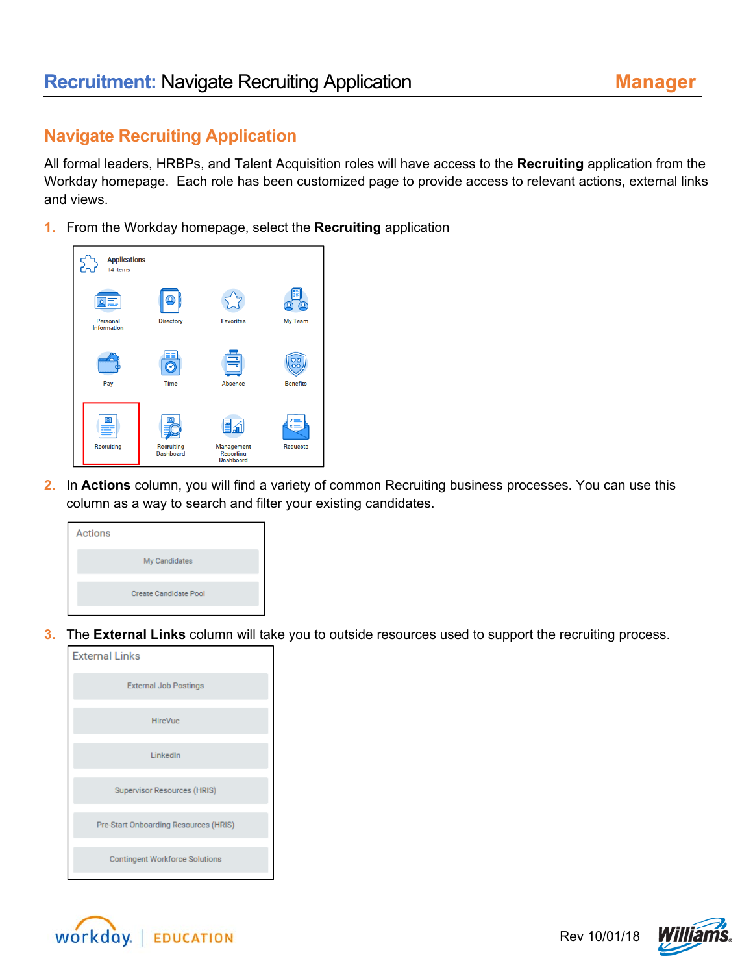## **Navigate Recruiting Application**

All formal leaders, HRBPs, and Talent Acquisition roles will have access to the **Recruiting** application from the Workday homepage. Each role has been customized page to provide access to relevant actions, external links and views.

**1.** From the Workday homepage, select the **Recruiting** application



**2.** In **Actions** column, you will find a variety of common Recruiting business processes. You can use this column as a way to search and filter your existing candidates.



**3.** The **External Links** column will take you to outside resources used to support the recruiting process.

| <b>External Links</b>                 |
|---------------------------------------|
| <b>External Job Postings</b>          |
| <b>HireVue</b>                        |
| LinkedIn                              |
| Supervisor Resources (HRIS)           |
| Pre-Start Onboarding Resources (HRIS) |
| <b>Contingent Workforce Solutions</b> |



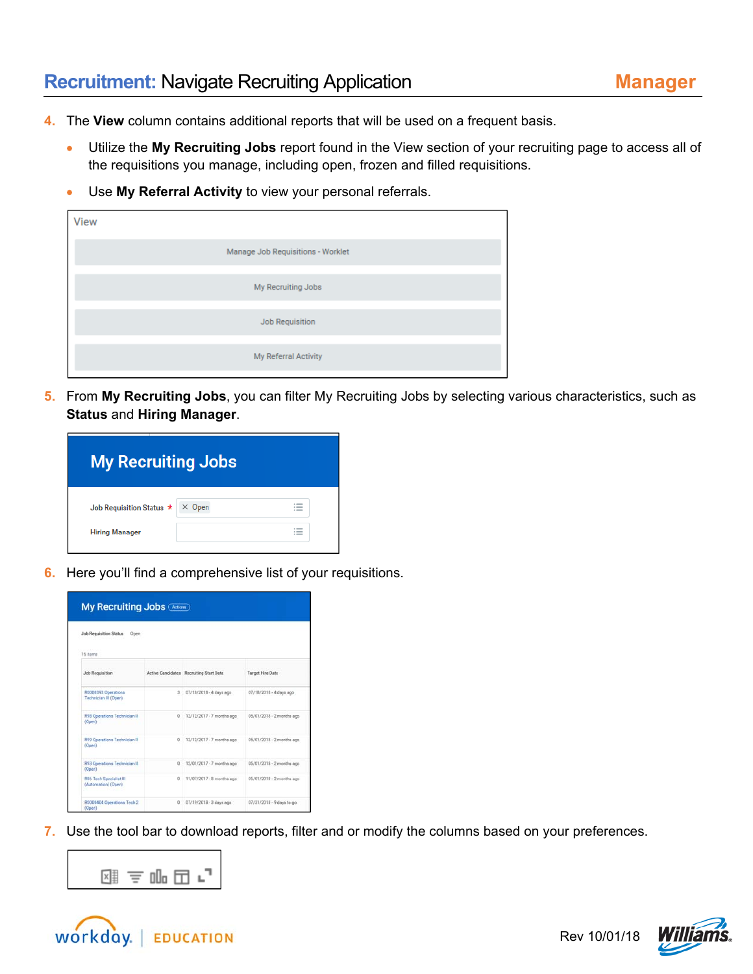## **Recruitment:** Navigate Recruiting Application

- **4.** The **View** column contains additional reports that will be used on a frequent basis.
	- Utilize the **My Recruiting Jobs** report found in the View section of your recruiting page to access all of the requisitions you manage, including open, frozen and filled requisitions.
	- Use **My Referral Activity** to view your personal referrals.

| <b>View</b>                       |
|-----------------------------------|
| Manage Job Requisitions - Worklet |
| My Recruiting Jobs                |
| Job Requisition                   |
| My Referral Activity              |

**5.** From **My Recruiting Jobs**, you can filter My Recruiting Jobs by selecting various characteristics, such as **Status** and **Hiring Manager**.

| <b>My Recruiting Jobs</b>       |                                        |
|---------------------------------|----------------------------------------|
| Job Requisition Status * X Open | $\overline{\phantom{a}}$<br>$\sim$ $-$ |
| <b>Hiring Manager</b>           | $\overline{a}$                         |

**6.** Here you'll find a comprehensive list of your requisitions.

| <b>My Recruiting Jobs (Actions)</b>               |         |                                         |                           |
|---------------------------------------------------|---------|-----------------------------------------|---------------------------|
| <b>Job Requisition Status</b><br>Open<br>16 items |         |                                         |                           |
| <b>Job Requisition</b>                            |         | Active Candidates Recruiting Start Date | <b>Target Hire Date</b>   |
| R0000393 Operations<br>Technician III (Open)      | 3.      | 07/18/2018 - 4 days ago                 | 07/18/2018 - 4 days ago   |
| R98 Operations Technician II<br>(Open)            | o       | 12/12/2017 - 7 months ago               | 05/01/2018 - 2 months ego |
| R99 Operations Technician II<br>(Open)            | o       | 12/12/2017 - 7 months ago               | 05/01/2018 - 2 months ago |
| <b>R93 Operations Technician II</b><br>(Open)     | O.      | 12/01/2017 - 7 months ago               | 05/01/2018 - 2 months ago |
| R86 Tech Specialist III<br>(Automation) (Open)    | $\circ$ | 11/07/2017 - 8 months ago               | 05/01/2018 - 2 months ago |
| R0000404 Operations Tech 2<br>(Open)              | $\circ$ | 07/19/2018 - 3 days ago                 | 07/31/2018 - 9 days to go |

**7.** Use the tool bar to download reports, filter and or modify the columns based on your preferences.





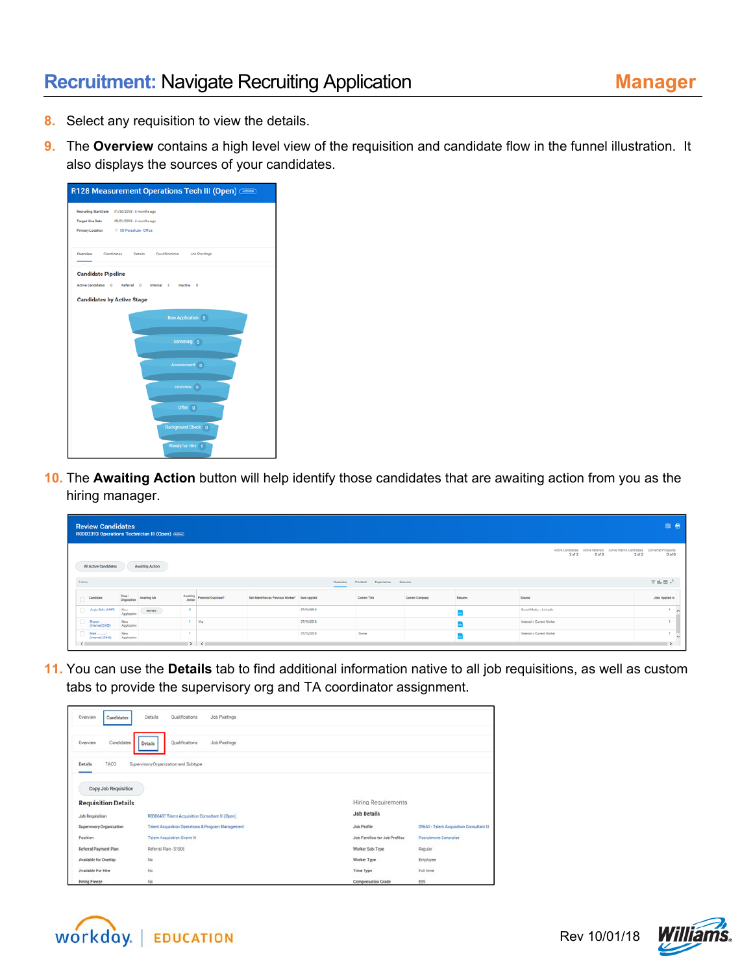- **8.** Select any requisition to view the details.
- **9.** The Overview contains a high level view of the requisition and candidate flow in the funnel illustration. It also displays the sources of your candidates.

| R128 Measurement Operations Tech III (Open) (Action)                                                                                                                                                                                                          |
|---------------------------------------------------------------------------------------------------------------------------------------------------------------------------------------------------------------------------------------------------------------|
| Recruiting Start Date 01/30/2018 - 8 months ago<br>Target Hire Date 05/01/2018 - 4 months ago                                                                                                                                                                 |
| Overview<br>Candidates Details<br>Qualifications<br><b>Job Postings</b><br><b>Candidate Pipeline</b><br><b>Active Candidates</b><br>$\overline{0}$<br>Referral<br>Internal<br>Inactive<br>$\circ$<br>$\circ$<br>$\Omega$<br><b>Candidates by Active Stage</b> |
| New Application 0                                                                                                                                                                                                                                             |
| Screening 0                                                                                                                                                                                                                                                   |
| Assessment 0                                                                                                                                                                                                                                                  |
| Interview 0                                                                                                                                                                                                                                                   |
| Offer 0                                                                                                                                                                                                                                                       |
| Background Check 0<br>Ready for Hire 0                                                                                                                                                                                                                        |

**10.** The **Awaiting Action** button will help identify those candidates that are awaiting action from you as the hiring manager.

|         | <b>Review Candidates</b>   |                       | R0000393 Operations Technician III (Open) (4500) |        |                               |                                                  |            |                           |                 |        |                                                                                                          | $01$ $6$                                              |  |
|---------|----------------------------|-----------------------|--------------------------------------------------|--------|-------------------------------|--------------------------------------------------|------------|---------------------------|-----------------|--------|----------------------------------------------------------------------------------------------------------|-------------------------------------------------------|--|
|         | All Active Candidates      |                       | Awaiting Action                                  |        |                               |                                                  |            |                           |                 |        | Active Referrals Active Internal Candidates Converted Prospects<br>Active Candidates<br>3 of 3<br>0 of 0 | $2$ of $2$<br>$0$ of $0$                              |  |
| 3 heres |                            |                       |                                                  |        |                               |                                                  | Overview   | Contact Experience Resume |                 |        |                                                                                                          | $\overline{\nabla}$ alls $\overline{\Box}$ $\kappa^2$ |  |
|         | Candidate                  | Step /<br>Disposition | <b>Awaiting Me</b>                               | Action | Availing Potential Duplicate? | Salf-Identified as Previous Worker? Date Applied |            | Current Title             | Current Company | Resume | Source                                                                                                   | <b>Jobs Applied to</b>                                |  |
|         | Jingle Bella (C457)        | New<br>Application    | Review                                           |        |                               |                                                  | 07/18/2018 |                           |                 |        | Social Media - Linkedin                                                                                  |                                                       |  |
|         | Sharon<br>(Intermel)(C450) | Meter<br>Application  |                                                  |        | Ves                           |                                                  | 07/18/2018 |                           |                 |        | Internal - Current Worker                                                                                |                                                       |  |
|         | Mark<br>(Internal) (C455)  | New<br>Application    |                                                  |        |                               |                                                  | 07/18/2018 | Owner                     |                 |        | Internal -> Current Worker                                                                               |                                                       |  |
|         |                            |                       |                                                  |        | $\rightarrow$ $\leftarrow$    |                                                  |            |                           |                 |        |                                                                                                          |                                                       |  |

**11.** You can use the **Details** tab to find additional information native to all job requisitions, as well as custom tabs to provide the supervisory org and TA coordinator assignment.

| Overview<br>Candidates     | Qualifications<br>Details                          | Job Postings |                               |                                           |
|----------------------------|----------------------------------------------------|--------------|-------------------------------|-------------------------------------------|
| Candidates<br>Overview     | Qualifications<br>Details                          | Job Postings |                               |                                           |
| TACO<br>Details            | Supervisory Organization and Subtype               |              |                               |                                           |
| Copy Job Requisition       |                                                    |              |                               |                                           |
| <b>Requisition Details</b> |                                                    |              | Hiring Requirements           |                                           |
| <b>Job Requisition</b>     | R0000407 Talent Acquisition Consultant III (Open)  |              | <b>Job Details</b>            |                                           |
| Supervisory Organization   | Talent Acquisition Operations & Program Management |              | Job Profile                   | 09653 - Talent Acquisition Consultant III |
| Position <sup>1</sup>      | <b>Talent Acquisition Cnstnt III</b>               |              | Job Families for Job Profiles | Recruitment Generalist                    |
| Referral Payment Plan      | Referral Plan - \$1000                             |              | Worker Sub-Type               | Regular                                   |
| Available for Overlap      | No                                                 |              | Worker Type                   | Employee                                  |
| Available For Hire         | No                                                 |              | Time Type                     | Full time                                 |
| <b>Hiring Freeze</b>       | No                                                 |              | Compensation Grade            | E85                                       |